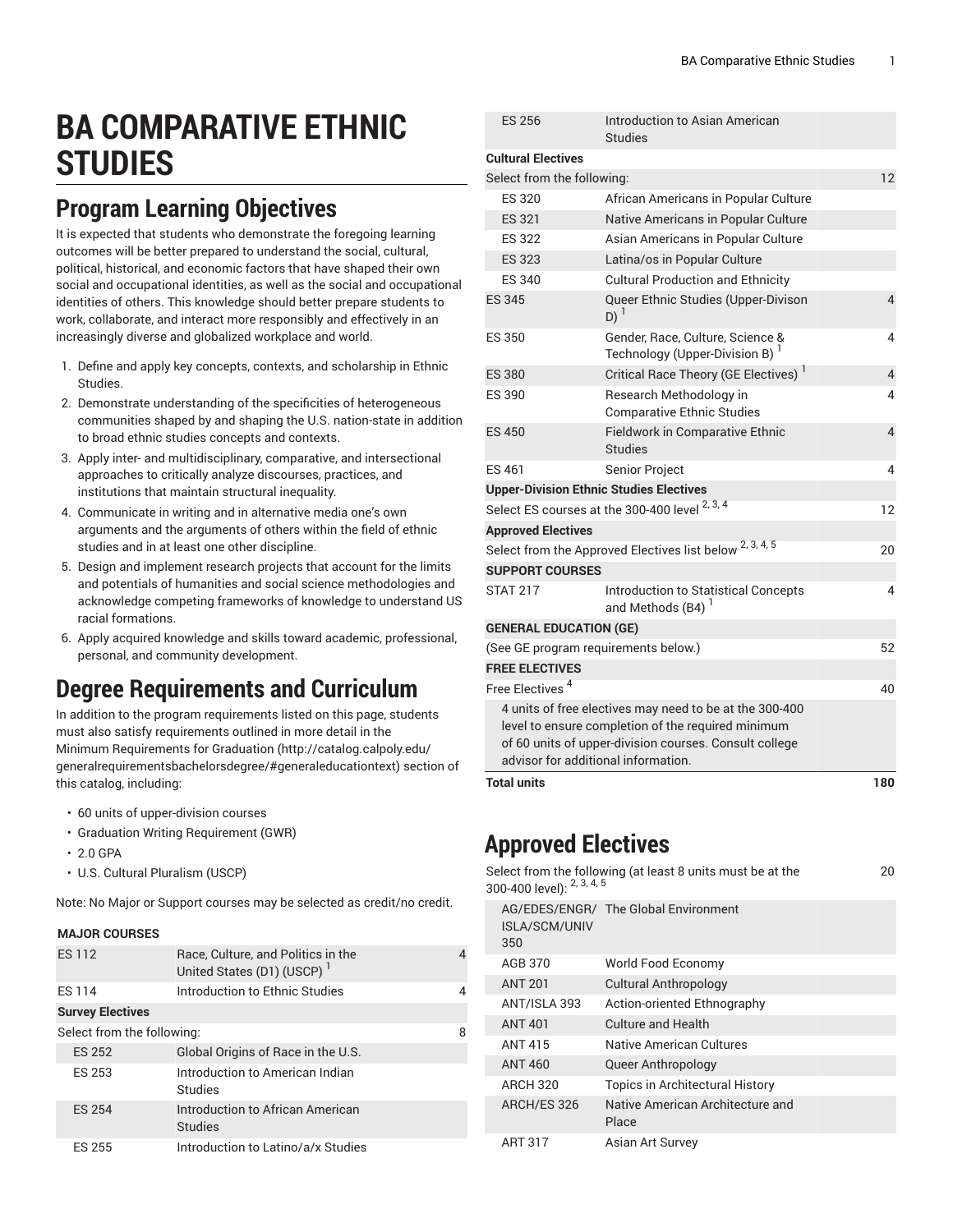# **BA COMPARATIVE ETHNIC STUDIES**

## **Program Learning Objectives**

It is expected that students who demonstrate the foregoing learning outcomes will be better prepared to understand the social, cultural, political, historical, and economic factors that have shaped their own social and occupational identities, as well as the social and occupational identities of others. This knowledge should better prepare students to work, collaborate, and interact more responsibly and effectively in an increasingly diverse and globalized workplace and world.

- 1. Define and apply key concepts, contexts, and scholarship in Ethnic Studies.
- 2. Demonstrate understanding of the specificities of heterogeneous communities shaped by and shaping the U.S. nation-state in addition to broad ethnic studies concepts and contexts.
- 3. Apply inter- and multidisciplinary, comparative, and intersectional approaches to critically analyze discourses, practices, and institutions that maintain structural inequality.
- 4. Communicate in writing and in alternative media one's own arguments and the arguments of others within the field of ethnic studies and in at least one other discipline.
- 5. Design and implement research projects that account for the limits and potentials of humanities and social science methodologies and acknowledge competing frameworks of knowledge to understand US racial formations.
- 6. Apply acquired knowledge and skills toward academic, professional, personal, and community development.

### **Degree Requirements and Curriculum**

In addition to the program requirements listed on this page, students must also satisfy requirements outlined in more detail in the Minimum [Requirements](http://catalog.calpoly.edu/generalrequirementsbachelorsdegree/#generaleducationtext) for Graduation ([http://catalog.calpoly.edu/](http://catalog.calpoly.edu/generalrequirementsbachelorsdegree/#generaleducationtext) [generalrequirementsbachelorsdegree/#generaleducationtext\)](http://catalog.calpoly.edu/generalrequirementsbachelorsdegree/#generaleducationtext) section of this catalog, including:

- 60 units of upper-division courses
- Graduation Writing Requirement (GWR)
- 2.0 GPA
- U.S. Cultural Pluralism (USCP)

Note: No Major or Support courses may be selected as credit/no credit.

#### **MAJOR COURSES**

| <b>ES112</b>               | Race, Culture, and Politics in the<br>United States (D1) (USCP) <sup>1</sup> |   |
|----------------------------|------------------------------------------------------------------------------|---|
| <b>FS114</b>               | Introduction to Ethnic Studies                                               |   |
| <b>Survey Electives</b>    |                                                                              |   |
| Select from the following: |                                                                              | 8 |
| <b>ES 252</b>              | Global Origins of Race in the U.S.                                           |   |
| <b>ES 253</b>              | Introduction to American Indian<br><b>Studies</b>                            |   |
| <b>ES 254</b>              | Introduction to African American<br><b>Studies</b>                           |   |
| ES 255                     | Introduction to Latino/a/x Studies                                           |   |

| <b>Total units</b>                                                                                                                                                                                             |                                                                                | 180            |  |  |
|----------------------------------------------------------------------------------------------------------------------------------------------------------------------------------------------------------------|--------------------------------------------------------------------------------|----------------|--|--|
| 4 units of free electives may need to be at the 300-400<br>level to ensure completion of the required minimum<br>of 60 units of upper-division courses. Consult college<br>advisor for additional information. |                                                                                |                |  |  |
| Free Electives <sup>4</sup>                                                                                                                                                                                    |                                                                                | 40             |  |  |
| <b>FREE ELECTIVES</b>                                                                                                                                                                                          |                                                                                |                |  |  |
|                                                                                                                                                                                                                | (See GE program requirements below.)                                           | 52             |  |  |
| <b>GENERAL EDUCATION (GE)</b>                                                                                                                                                                                  |                                                                                |                |  |  |
| <b>STAT 217</b>                                                                                                                                                                                                | Introduction to Statistical Concepts<br>and Methods (B4) <sup>1</sup>          | 4              |  |  |
| <b>SUPPORT COURSES</b>                                                                                                                                                                                         |                                                                                |                |  |  |
| Select from the Approved Electives list below 2, 3, 4, 5<br>20                                                                                                                                                 |                                                                                |                |  |  |
|                                                                                                                                                                                                                | <b>Approved Electives</b>                                                      |                |  |  |
|                                                                                                                                                                                                                | Select ES courses at the 300-400 level <sup>2, 3, 4</sup>                      | 12             |  |  |
|                                                                                                                                                                                                                | <b>Upper-Division Ethnic Studies Electives</b>                                 |                |  |  |
| <b>FS461</b>                                                                                                                                                                                                   | Senior Project                                                                 | 4              |  |  |
| <b>ES 450</b>                                                                                                                                                                                                  | <b>Fieldwork in Comparative Ethnic</b><br><b>Studies</b>                       | $\overline{4}$ |  |  |
| <b>ES 390</b>                                                                                                                                                                                                  | Research Methodology in<br><b>Comparative Ethnic Studies</b>                   | 4              |  |  |
| <b>ES 380</b>                                                                                                                                                                                                  | Critical Race Theory (GE Electives) <sup>1</sup>                               | $\overline{4}$ |  |  |
| <b>ES 350</b>                                                                                                                                                                                                  | Gender, Race, Culture, Science &<br>Technology (Upper-Division B) <sup>1</sup> | 4              |  |  |
| ES 345                                                                                                                                                                                                         | Queer Ethnic Studies (Upper-Divison<br>$D)^1$                                  | $\overline{4}$ |  |  |
| <b>ES 340</b>                                                                                                                                                                                                  | <b>Cultural Production and Ethnicity</b>                                       |                |  |  |
| <b>ES 323</b>                                                                                                                                                                                                  | Latina/os in Popular Culture                                                   |                |  |  |
| <b>ES 322</b>                                                                                                                                                                                                  | Asian Americans in Popular Culture                                             |                |  |  |
| <b>ES 321</b>                                                                                                                                                                                                  | Native Americans in Popular Culture                                            |                |  |  |
| <b>ES 320</b>                                                                                                                                                                                                  | African Americans in Popular Culture                                           |                |  |  |
| Select from the following:                                                                                                                                                                                     |                                                                                | 12             |  |  |
| <b>Cultural Electives</b>                                                                                                                                                                                      |                                                                                |                |  |  |
| <b>ES 256</b>                                                                                                                                                                                                  | Introduction to Asian American<br><b>Studies</b>                               |                |  |  |
|                                                                                                                                                                                                                |                                                                                |                |  |  |

#### **Approved Electives**

| 300-400 level): <sup>2, 3, 4, 5</sup> | Select from the following (at least 8 units must be at the | 20 |
|---------------------------------------|------------------------------------------------------------|----|
| <b>ISLA/SCM/UNIV</b><br>350           | AG/EDES/ENGR/ The Global Environment                       |    |
| AGB 370                               | World Food Economy                                         |    |
| <b>ANT 201</b>                        | <b>Cultural Anthropology</b>                               |    |
| ANT/ISLA 393                          | Action-oriented Ethnography                                |    |
| <b>ANT 401</b>                        | Culture and Health                                         |    |
| <b>ANT 415</b>                        | Native American Cultures                                   |    |
| <b>ANT 460</b>                        | Queer Anthropology                                         |    |
| <b>ARCH 320</b>                       | Topics in Architectural History                            |    |
| ARCH/ES 326                           | Native American Architecture and<br>Place                  |    |
| ART 317                               | Asian Art Survey                                           |    |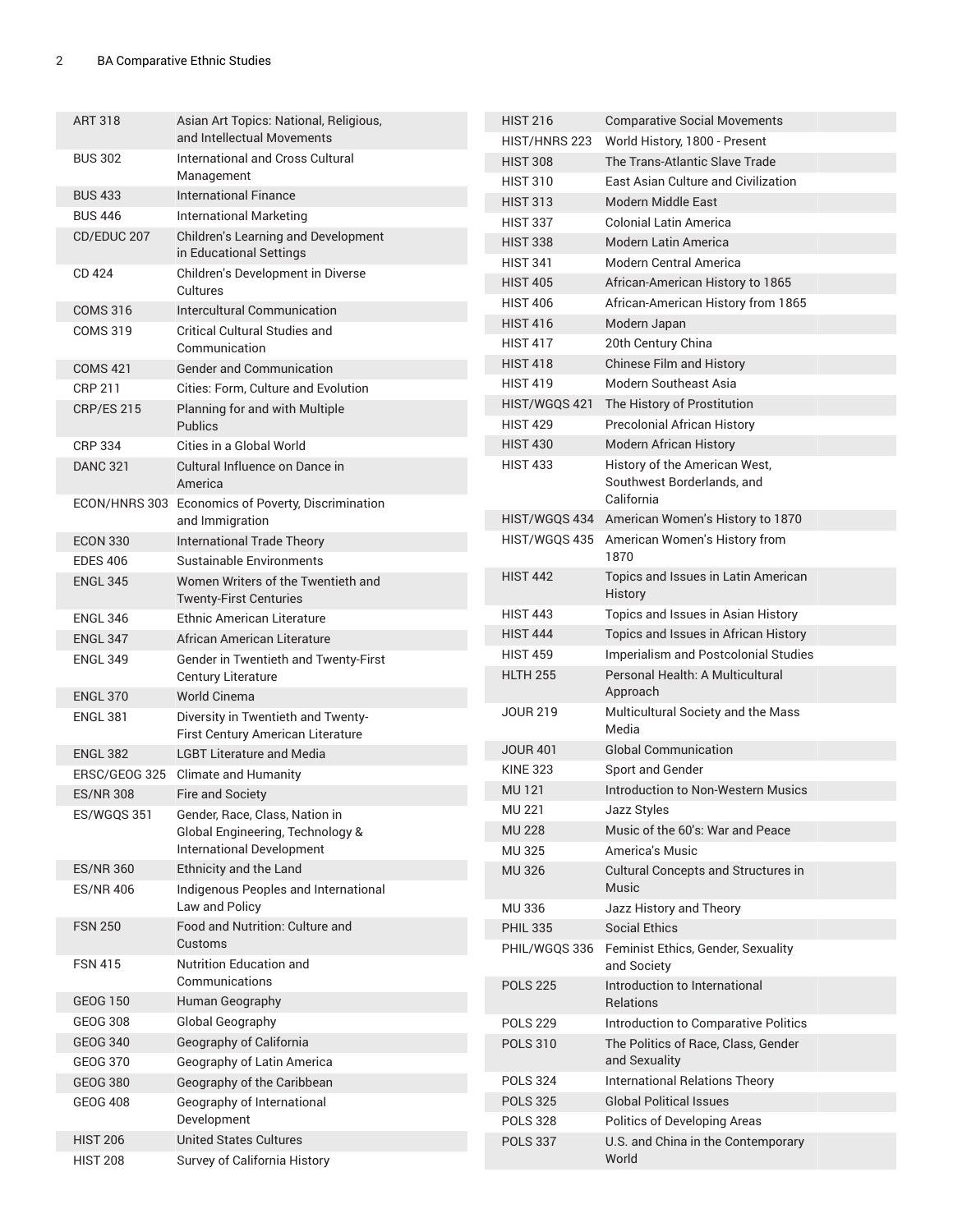| <b>ART 318</b>    | Asian Art Topics: National, Religious,                                  | <b>HIST 216</b> | <b>Comparative Social Movements</b>                                         |
|-------------------|-------------------------------------------------------------------------|-----------------|-----------------------------------------------------------------------------|
|                   | and Intellectual Movements                                              | HIST/HNRS 223   | World History, 1800 - Present                                               |
| <b>BUS 302</b>    | International and Cross Cultural                                        | <b>HIST 308</b> | The Trans-Atlantic Slave Trade                                              |
|                   | Management                                                              | <b>HIST 310</b> | East Asian Culture and Civilization                                         |
| <b>BUS 433</b>    | <b>International Finance</b>                                            | <b>HIST 313</b> | Modern Middle East                                                          |
| <b>BUS 446</b>    | <b>International Marketing</b>                                          | <b>HIST 337</b> | <b>Colonial Latin America</b>                                               |
| CD/EDUC 207       | <b>Children's Learning and Development</b>                              | <b>HIST 338</b> | <b>Modern Latin America</b>                                                 |
|                   | in Educational Settings                                                 | <b>HIST 341</b> | <b>Modern Central America</b>                                               |
| CD 424            | Children's Development in Diverse<br>Cultures                           | <b>HIST 405</b> | African-American History to 1865                                            |
| <b>COMS 316</b>   | Intercultural Communication                                             | <b>HIST 406</b> | African-American History from 1865                                          |
| <b>COMS 319</b>   | <b>Critical Cultural Studies and</b>                                    | <b>HIST 416</b> | Modern Japan                                                                |
|                   | Communication                                                           | <b>HIST 417</b> | 20th Century China                                                          |
| <b>COMS 421</b>   | <b>Gender and Communication</b>                                         | <b>HIST 418</b> | Chinese Film and History                                                    |
| <b>CRP 211</b>    | Cities: Form, Culture and Evolution                                     | <b>HIST 419</b> | <b>Modern Southeast Asia</b>                                                |
| <b>CRP/ES 215</b> | Planning for and with Multiple                                          | HIST/WGQS 421   | The History of Prostitution                                                 |
|                   | <b>Publics</b>                                                          | <b>HIST 429</b> | <b>Precolonial African History</b>                                          |
| <b>CRP 334</b>    | Cities in a Global World                                                | <b>HIST 430</b> | <b>Modern African History</b>                                               |
| <b>DANC 321</b>   | Cultural Influence on Dance in<br>America                               | <b>HIST 433</b> | History of the American West,<br>Southwest Borderlands, and                 |
|                   | ECON/HNRS 303 Economics of Poverty, Discrimination                      |                 | California                                                                  |
|                   | and Immigration                                                         | HIST/WGQS 434   | American Women's History to 1870                                            |
| <b>ECON 330</b>   | International Trade Theory                                              | HIST/WGQS 435   | American Women's History from                                               |
| <b>EDES 406</b>   | Sustainable Environments                                                |                 | 1870                                                                        |
| <b>ENGL 345</b>   | Women Writers of the Twentieth and<br><b>Twenty-First Centuries</b>     | <b>HIST 442</b> | Topics and Issues in Latin American<br>History                              |
| <b>ENGL 346</b>   | <b>Ethnic American Literature</b>                                       | <b>HIST 443</b> | Topics and Issues in Asian History                                          |
| <b>ENGL 347</b>   | African American Literature                                             | <b>HIST 444</b> | Topics and Issues in African History                                        |
| <b>ENGL 349</b>   | Gender in Twentieth and Twenty-First                                    | <b>HIST 459</b> | Imperialism and Postcolonial Studies                                        |
|                   | Century Literature                                                      | <b>HLTH 255</b> | Personal Health: A Multicultural                                            |
| <b>ENGL 370</b>   | World Cinema                                                            |                 | Approach                                                                    |
| <b>ENGL 381</b>   | Diversity in Twentieth and Twenty-<br>First Century American Literature | <b>JOUR 219</b> | Multicultural Society and the Mass<br>Media                                 |
| <b>ENGL 382</b>   | <b>LGBT Literature and Media</b>                                        | <b>JOUR 401</b> | <b>Global Communication</b>                                                 |
|                   | ERSC/GEOG 325 Climate and Humanity                                      | <b>KINE 323</b> | Sport and Gender                                                            |
| <b>ES/NR 308</b>  | Fire and Society                                                        | <b>MU121</b>    | <b>Introduction to Non-Western Musics</b>                                   |
| ES/WGQS 351       | Gender, Race, Class, Nation in                                          | MU 221          | Jazz Styles                                                                 |
|                   | Global Engineering, Technology &                                        | <b>MU 228</b>   | Music of the 60's: War and Peace                                            |
|                   | International Development                                               | <b>MU325</b>    | America's Music                                                             |
| <b>ES/NR 360</b>  | Ethnicity and the Land                                                  | <b>MU326</b>    | Cultural Concepts and Structures in                                         |
| <b>ES/NR 406</b>  | Indigenous Peoples and International<br>Law and Policy                  |                 | Music                                                                       |
|                   | Food and Nutrition: Culture and                                         | <b>MU336</b>    | Jazz History and Theory                                                     |
| <b>FSN 250</b>    | Customs                                                                 | <b>PHIL 335</b> | <b>Social Ethics</b>                                                        |
| <b>FSN 415</b>    | <b>Nutrition Education and</b><br>Communications                        | PHIL/WGQS 336   | Feminist Ethics, Gender, Sexuality<br>and Society                           |
| <b>GEOG 150</b>   | Human Geography                                                         | <b>POLS 225</b> | Introduction to International<br>Relations                                  |
| <b>GEOG 308</b>   | Global Geography                                                        | <b>POLS 229</b> |                                                                             |
| <b>GEOG 340</b>   | Geography of California                                                 | <b>POLS 310</b> | Introduction to Comparative Politics<br>The Politics of Race, Class, Gender |
| GEOG 370          | Geography of Latin America                                              |                 | and Sexuality                                                               |
| <b>GEOG 380</b>   | Geography of the Caribbean                                              | <b>POLS 324</b> | International Relations Theory                                              |
| <b>GEOG 408</b>   | Geography of International                                              | <b>POLS 325</b> | <b>Global Political Issues</b>                                              |
|                   | Development                                                             | <b>POLS 328</b> | Politics of Developing Areas                                                |
| <b>HIST 206</b>   | <b>United States Cultures</b>                                           | <b>POLS 337</b> | U.S. and China in the Contemporary                                          |
| <b>HIST 208</b>   | Survey of California History                                            |                 | World                                                                       |
|                   |                                                                         |                 |                                                                             |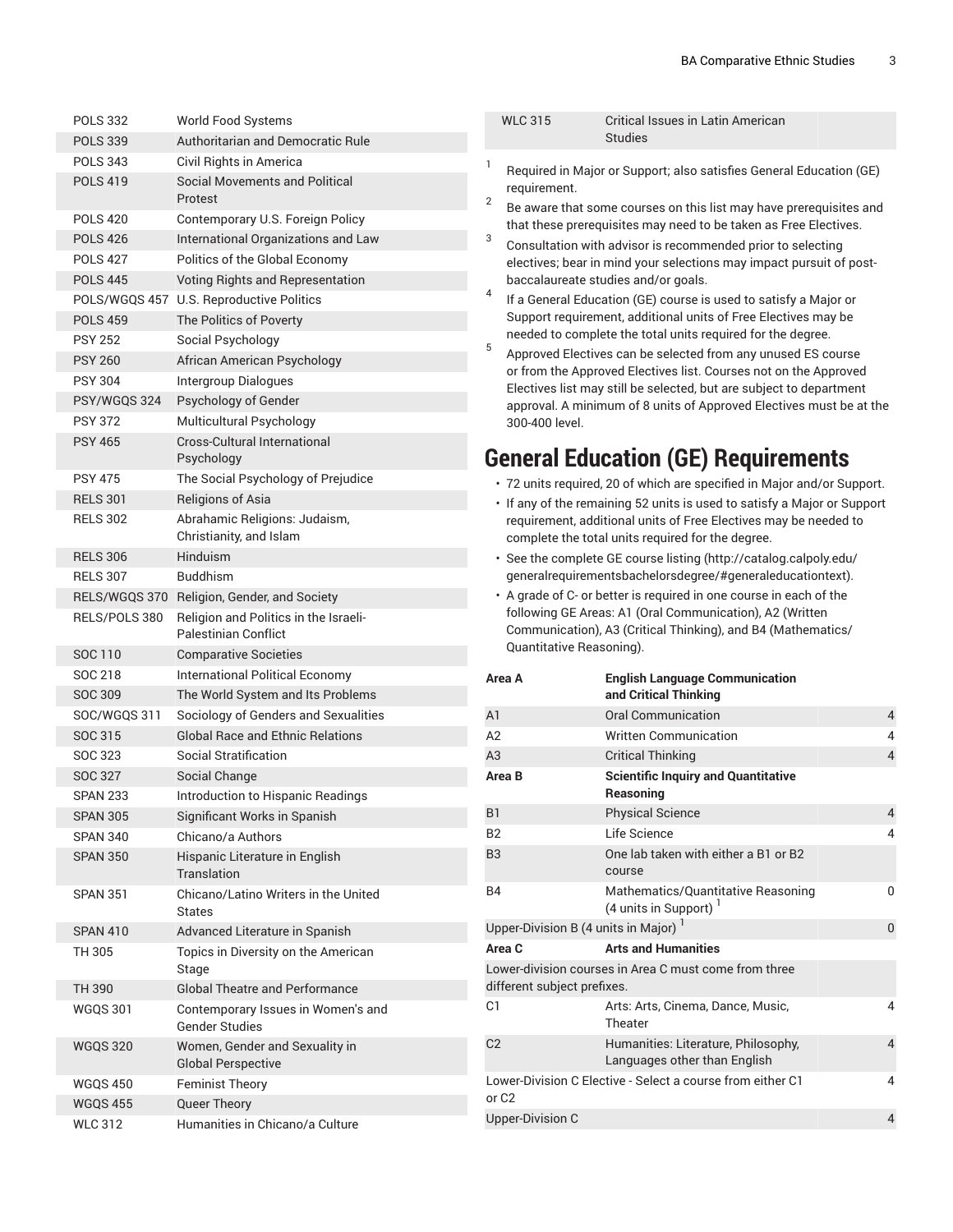WLC 315 Critical Issues in Latin American

| <b>POLS 332</b> | <b>World Food Systems</b>                                            |
|-----------------|----------------------------------------------------------------------|
| <b>POLS 339</b> | Authoritarian and Democratic Rule                                    |
| <b>POLS 343</b> | Civil Rights in America                                              |
| <b>POLS 419</b> | Social Movements and Political<br>Protest                            |
| <b>POLS 420</b> | Contemporary U.S. Foreign Policy                                     |
| <b>POLS 426</b> | International Organizations and Law                                  |
| <b>POLS 427</b> | Politics of the Global Economy                                       |
| <b>POLS 445</b> | Voting Rights and Representation                                     |
|                 | POLS/WGQS 457 U.S. Reproductive Politics                             |
| <b>POLS 459</b> | The Politics of Poverty                                              |
| <b>PSY 252</b>  | Social Psychology                                                    |
| <b>PSY 260</b>  | African American Psychology                                          |
| <b>PSY 304</b>  | Intergroup Dialogues                                                 |
| PSY/WGQS 324    | Psychology of Gender                                                 |
| <b>PSY 372</b>  | Multicultural Psychology                                             |
| <b>PSY 465</b>  | <b>Cross-Cultural International</b><br>Psychology                    |
| <b>PSY 475</b>  | The Social Psychology of Prejudice                                   |
| <b>RELS 301</b> | <b>Religions of Asia</b>                                             |
| <b>RELS 302</b> | Abrahamic Religions: Judaism,<br>Christianity, and Islam             |
| <b>RELS 306</b> | <b>Hinduism</b>                                                      |
| <b>RELS 307</b> | <b>Buddhism</b>                                                      |
|                 | RELS/WGQS 370 Religion, Gender, and Society                          |
| RELS/POLS 380   | Religion and Politics in the Israeli-<br><b>Palestinian Conflict</b> |
| SOC 110         | <b>Comparative Societies</b>                                         |
| SOC 218         | <b>International Political Economy</b>                               |
| SOC 309         | The World System and Its Problems                                    |
| SOC/WGQS 311    | Sociology of Genders and Sexualities                                 |
| SOC 315         | <b>Global Race and Ethnic Relations</b>                              |
| SOC 323         | Social Stratification                                                |
| <b>SOC 327</b>  | Social Change                                                        |
| <b>SPAN 233</b> | Introduction to Hispanic Readings                                    |
| <b>SPAN 305</b> | Significant Works in Spanish                                         |
| <b>SPAN 340</b> | Chicano/a Authors                                                    |
| <b>SPAN 350</b> | Hispanic Literature in English<br>Translation                        |
| <b>SPAN 351</b> | Chicano/Latino Writers in the United<br><b>States</b>                |
| <b>SPAN 410</b> | Advanced Literature in Spanish                                       |
| TH 305          | Topics in Diversity on the American<br>Stage                         |
| TH 390          | <b>Global Theatre and Performance</b>                                |
| <b>WGQS 301</b> | Contemporary Issues in Women's and<br><b>Gender Studies</b>          |
| <b>WGQS 320</b> | Women, Gender and Sexuality in<br><b>Global Perspective</b>          |
| <b>WGQS 450</b> | <b>Feminist Theory</b>                                               |
| <b>WGQS 455</b> | Queer Theory                                                         |
| <b>WLC 312</b>  | Humanities in Chicano/a Culture                                      |

|                                                                                                                                                                                                                            |                                                                                                                                                                                                                                                                                                                                                                                                                                                         | <b>Studies</b>                                                                                                                  |   |
|----------------------------------------------------------------------------------------------------------------------------------------------------------------------------------------------------------------------------|---------------------------------------------------------------------------------------------------------------------------------------------------------------------------------------------------------------------------------------------------------------------------------------------------------------------------------------------------------------------------------------------------------------------------------------------------------|---------------------------------------------------------------------------------------------------------------------------------|---|
| 1                                                                                                                                                                                                                          | requirement.                                                                                                                                                                                                                                                                                                                                                                                                                                            | Required in Major or Support; also satisfies General Education (GE)                                                             |   |
| 2                                                                                                                                                                                                                          | Be aware that some courses on this list may have prerequisites and                                                                                                                                                                                                                                                                                                                                                                                      |                                                                                                                                 |   |
| 3                                                                                                                                                                                                                          | that these prerequisites may need to be taken as Free Electives.<br>Consultation with advisor is recommended prior to selecting<br>electives; bear in mind your selections may impact pursuit of post-<br>baccalaureate studies and/or goals.<br>4<br>If a General Education (GE) course is used to satisfy a Major or<br>Support requirement, additional units of Free Electives may be<br>needed to complete the total units required for the degree. |                                                                                                                                 |   |
|                                                                                                                                                                                                                            |                                                                                                                                                                                                                                                                                                                                                                                                                                                         |                                                                                                                                 |   |
| 5                                                                                                                                                                                                                          | Approved Electives can be selected from any unused ES course<br>or from the Approved Electives list. Courses not on the Approved<br>Electives list may still be selected, but are subject to department<br>approval. A minimum of 8 units of Approved Electives must be at the<br>300-400 level.                                                                                                                                                        |                                                                                                                                 |   |
|                                                                                                                                                                                                                            |                                                                                                                                                                                                                                                                                                                                                                                                                                                         | <b>General Education (GE) Requirements</b>                                                                                      |   |
|                                                                                                                                                                                                                            |                                                                                                                                                                                                                                                                                                                                                                                                                                                         | · 72 units required, 20 of which are specified in Major and/or Support.                                                         |   |
| • If any of the remaining 52 units is used to satisfy a Major or Support<br>requirement, additional units of Free Electives may be needed to<br>complete the total units required for the degree.                          |                                                                                                                                                                                                                                                                                                                                                                                                                                                         |                                                                                                                                 |   |
|                                                                                                                                                                                                                            |                                                                                                                                                                                                                                                                                                                                                                                                                                                         | · See the complete GE course listing (http://catalog.calpoly.edu/<br>generalrequirementsbachelorsdegree/#generaleducationtext). |   |
| • A grade of C- or better is required in one course in each of the<br>following GE Areas: A1 (Oral Communication), A2 (Written<br>Communication), A3 (Critical Thinking), and B4 (Mathematics/<br>Quantitative Reasoning). |                                                                                                                                                                                                                                                                                                                                                                                                                                                         |                                                                                                                                 |   |
|                                                                                                                                                                                                                            |                                                                                                                                                                                                                                                                                                                                                                                                                                                         |                                                                                                                                 |   |
| Area A                                                                                                                                                                                                                     |                                                                                                                                                                                                                                                                                                                                                                                                                                                         | <b>English Language Communication</b><br>and Critical Thinking                                                                  |   |
| A <sub>1</sub>                                                                                                                                                                                                             |                                                                                                                                                                                                                                                                                                                                                                                                                                                         | <b>Oral Communication</b>                                                                                                       | 4 |
| A2                                                                                                                                                                                                                         |                                                                                                                                                                                                                                                                                                                                                                                                                                                         | <b>Written Communication</b>                                                                                                    | 4 |
| A <sub>3</sub>                                                                                                                                                                                                             |                                                                                                                                                                                                                                                                                                                                                                                                                                                         | <b>Critical Thinking</b>                                                                                                        | 4 |
| Area B                                                                                                                                                                                                                     |                                                                                                                                                                                                                                                                                                                                                                                                                                                         | <b>Scientific Inquiry and Quantitative</b><br>Reasoning                                                                         |   |
| <b>B1</b>                                                                                                                                                                                                                  |                                                                                                                                                                                                                                                                                                                                                                                                                                                         | <b>Physical Science</b>                                                                                                         | 4 |
| В2                                                                                                                                                                                                                         |                                                                                                                                                                                                                                                                                                                                                                                                                                                         | Life Science                                                                                                                    | 4 |
| B <sub>3</sub>                                                                                                                                                                                                             |                                                                                                                                                                                                                                                                                                                                                                                                                                                         | One lab taken with either a B1 or B2<br>course                                                                                  |   |
| <b>B4</b>                                                                                                                                                                                                                  |                                                                                                                                                                                                                                                                                                                                                                                                                                                         | Mathematics/Quantitative Reasoning<br>(4 units in Support) <sup>1</sup>                                                         | 0 |
|                                                                                                                                                                                                                            | Upper-Division B (4 units in Major) $1$                                                                                                                                                                                                                                                                                                                                                                                                                 |                                                                                                                                 | 0 |
| Area C                                                                                                                                                                                                                     |                                                                                                                                                                                                                                                                                                                                                                                                                                                         | <b>Arts and Humanities</b>                                                                                                      |   |
|                                                                                                                                                                                                                            | different subject prefixes.                                                                                                                                                                                                                                                                                                                                                                                                                             | Lower-division courses in Area C must come from three                                                                           |   |
| C1                                                                                                                                                                                                                         |                                                                                                                                                                                                                                                                                                                                                                                                                                                         | Arts: Arts, Cinema, Dance, Music,<br>Theater                                                                                    | 4 |
| C <sub>2</sub>                                                                                                                                                                                                             |                                                                                                                                                                                                                                                                                                                                                                                                                                                         | Humanities: Literature, Philosophy,<br>Languages other than English                                                             | 4 |
| or <sub>C2</sub>                                                                                                                                                                                                           |                                                                                                                                                                                                                                                                                                                                                                                                                                                         | Lower-Division C Elective - Select a course from either C1                                                                      | 4 |